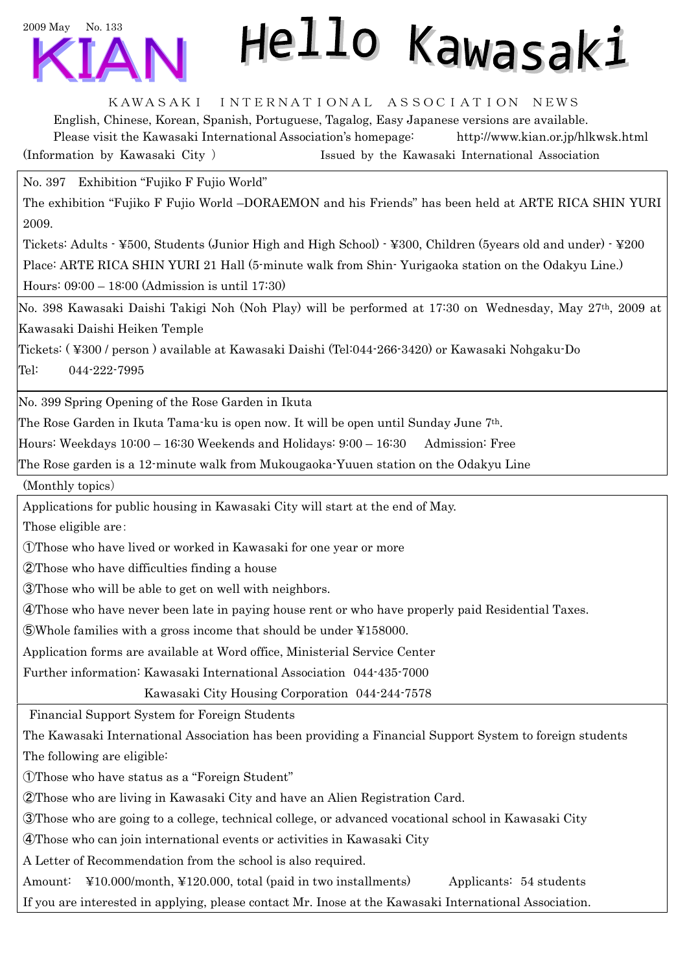

## Hello Kawasaki

KAWASAKI INTERNATIONAL ASSOCIATION NEWS

English, Chinese, Korean, Spanish, Portuguese, Tagalog, Easy Japanese versions are available. Please visit the Kawasaki International Association's homepage: http://www.kian.or.jp/hlkwsk.html (Information by Kawasaki City ) Issued by the Kawasaki International Association

No. 397 Exhibition "Fujiko F Fujio World"

The exhibition "Fujiko F Fujio World –DORAEMON and his Friends" has been held at ARTE RICA SHIN YURI 2009.

Tickets: Adults - ¥500, Students (Junior High and High School) - ¥300, Children (5years old and under) - ¥200 Place: ARTE RICA SHIN YURI 21 Hall (5-minute walk from Shin- Yurigaoka station on the Odakyu Line.) Hours: 09:00 – 18:00 (Admission is until 17:30)

No. 398 Kawasaki Daishi Takigi Noh (Noh Play) will be performed at 17:30 on Wednesday, May 27th, 2009 at Kawasaki Daishi Heiken Temple

Tickets: ( ¥300 / person ) available at Kawasaki Daishi (Tel:044-266-3420) or Kawasaki Nohgaku-Do Tel: 044-222-7995

No. 399 Spring Opening of the Rose Garden in Ikuta

The Rose Garden in Ikuta Tama-ku is open now. It will be open until Sunday June 7th.

Hours: Weekdays 10:00 – 16:30 Weekends and Holidays: 9:00 – 16:30 Admission: Free

The Rose garden is a 12-minute walk from Mukougaoka-Yuuen station on the Odakyu Line

(Monthly topics)

Applications for public housing in Kawasaki City will start at the end of May.

Those eligible are:

①Those who have lived or worked in Kawasaki for one year or more

②Those who have difficulties finding a house

③Those who will be able to get on well with neighbors.

④Those who have never been late in paying house rent or who have properly paid Residential Taxes.

⑤Whole families with a gross income that should be under ¥158000.

Application forms are available at Word office, Ministerial Service Center

Further information: Kawasaki International Association 044-435-7000

Kawasaki City Housing Corporation 044-244-7578

Financial Support System for Foreign Students

The Kawasaki International Association has been providing a Financial Support System to foreign students The following are eligible:

①Those who have status as a "Foreign Student"

②Those who are living in Kawasaki City and have an Alien Registration Card.

③Those who are going to a college, technical college, or advanced vocational school in Kawasaki City

④Those who can join international events or activities in Kawasaki City

A Letter of Recommendation from the school is also required.

Amount: ¥10.000/month, ¥120.000, total (paid in two installments) Applicants: 54 students If you are interested in applying, please contact Mr. Inose at the Kawasaki International Association.